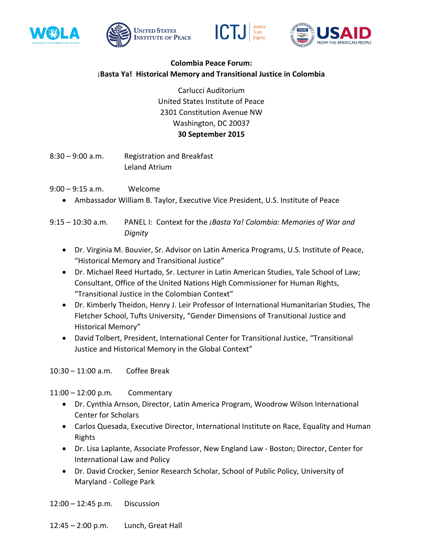







## **Colombia Peace Forum:** ¡**Basta Ya! Historical Memory and Transitional Justice in Colombia**

Carlucci Auditorium United States Institute of Peace 2301 Constitution Avenue NW Washington, DC 20037 **30 September 2015**

8:30 – 9:00 a.m. Registration and Breakfast Leland Atrium

- 9:00 9:15 a.m. Welcome
	- Ambassador William B. Taylor, Executive Vice President, U.S. Institute of Peace

9:15 – 10:30 a.m. PANEL I: Context for the *¡Basta Ya! Colombia: Memories of War and Dignity*

- Dr. Virginia M. Bouvier, Sr. Advisor on Latin America Programs, U.S. Institute of Peace, "Historical Memory and Transitional Justice"
- Dr. Michael Reed Hurtado, Sr. Lecturer in Latin American Studies, Yale School of Law; Consultant, Office of the United Nations High Commissioner for Human Rights, "Transitional Justice in the Colombian Context"
- Dr. Kimberly Theidon, Henry J. Leir Professor of International Humanitarian Studies, The Fletcher School, Tufts University, "Gender Dimensions of Transitional Justice and Historical Memory"
- David Tolbert, President, International Center for Transitional Justice, "Transitional Justice and Historical Memory in the Global Context"

10:30 – 11:00 a.m. Coffee Break

11:00 – 12:00 p.m. Commentary

- Dr. Cynthia Arnson, Director, Latin America Program, Woodrow Wilson International Center for Scholars
- Carlos Quesada, Executive Director, International Institute on Race, Equality and Human Rights
- Dr. Lisa Laplante, Associate Professor, New England Law Boston; Director, Center for International Law and Policy
- Dr. David Crocker, Senior Research Scholar, School of Public Policy, University of Maryland - College Park

12:00 – 12:45 p.m. Discussion

12:45 – 2:00 p.m. Lunch, Great Hall